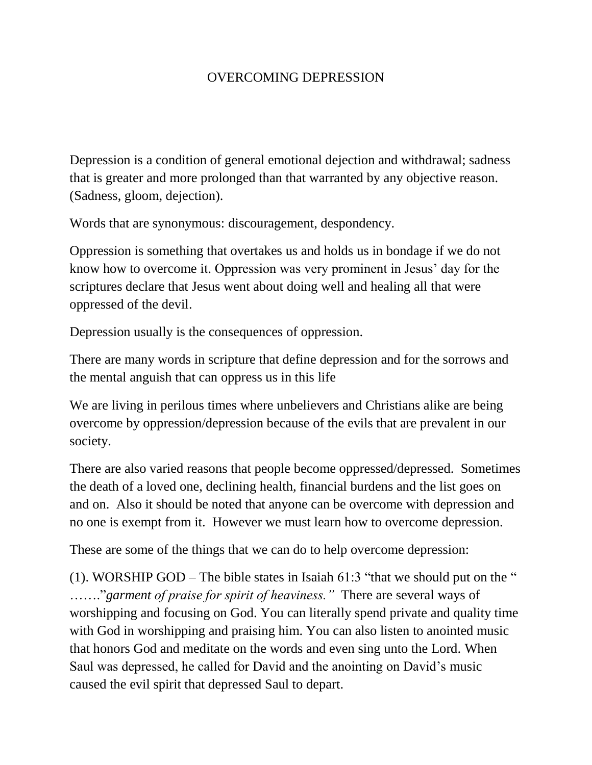## OVERCOMING DEPRESSION

Depression is a condition of general emotional dejection and withdrawal; sadness that is greater and more prolonged than that warranted by any objective reason. (Sadness, gloom, dejection).

Words that are synonymous: discouragement, despondency.

Oppression is something that overtakes us and holds us in bondage if we do not know how to overcome it. Oppression was very prominent in Jesus' day for the scriptures declare that Jesus went about doing well and healing all that were oppressed of the devil.

Depression usually is the consequences of oppression.

There are many words in scripture that define depression and for the sorrows and the mental anguish that can oppress us in this life

We are living in perilous times where unbelievers and Christians alike are being overcome by oppression/depression because of the evils that are prevalent in our society.

There are also varied reasons that people become oppressed/depressed. Sometimes the death of a loved one, declining health, financial burdens and the list goes on and on. Also it should be noted that anyone can be overcome with depression and no one is exempt from it. However we must learn how to overcome depression.

These are some of the things that we can do to help overcome depression:

(1). WORSHIP GOD – The bible states in Isaiah  $61:3$  "that we should put on the " ……."*garment of praise for spirit of heaviness."* There are several ways of worshipping and focusing on God. You can literally spend private and quality time with God in worshipping and praising him. You can also listen to anointed music that honors God and meditate on the words and even sing unto the Lord. When Saul was depressed, he called for David and the anointing on David's music caused the evil spirit that depressed Saul to depart.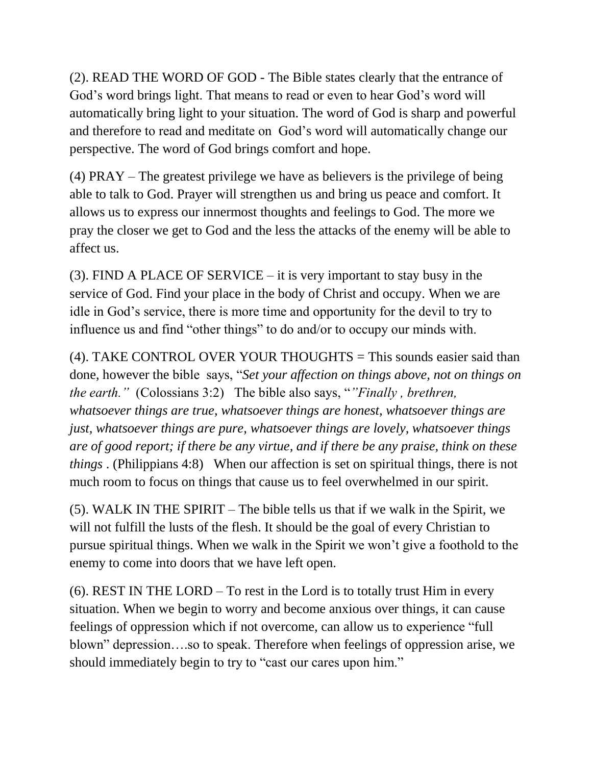(2). READ THE WORD OF GOD - The Bible states clearly that the entrance of God's word brings light. That means to read or even to hear God's word will automatically bring light to your situation. The word of God is sharp and powerful and therefore to read and meditate on God's word will automatically change our perspective. The word of God brings comfort and hope.

(4) PRAY – The greatest privilege we have as believers is the privilege of being able to talk to God. Prayer will strengthen us and bring us peace and comfort. It allows us to express our innermost thoughts and feelings to God. The more we pray the closer we get to God and the less the attacks of the enemy will be able to affect us.

(3). FIND A PLACE OF SERVICE – it is very important to stay busy in the service of God. Find your place in the body of Christ and occupy. When we are idle in God's service, there is more time and opportunity for the devil to try to influence us and find "other things" to do and/or to occupy our minds with.

(4). TAKE CONTROL OVER YOUR THOUGHTS = This sounds easier said than done, however the bible says, "*Set your affection on things above, not on things on the earth."* (Colossians 3:2) The bible also says, "*"Finally , brethren, whatsoever things are true, whatsoever things are honest, whatsoever things are just, whatsoever things are pure, whatsoever things are lovely, whatsoever things are of good report; if there be any virtue, and if there be any praise, think on these things* . (Philippians 4:8) When our affection is set on spiritual things, there is not much room to focus on things that cause us to feel overwhelmed in our spirit.

(5). WALK IN THE SPIRIT – The bible tells us that if we walk in the Spirit, we will not fulfill the lusts of the flesh. It should be the goal of every Christian to pursue spiritual things. When we walk in the Spirit we won't give a foothold to the enemy to come into doors that we have left open.

(6). REST IN THE LORD – To rest in the Lord is to totally trust Him in every situation. When we begin to worry and become anxious over things, it can cause feelings of oppression which if not overcome, can allow us to experience "full blown" depression….so to speak. Therefore when feelings of oppression arise, we should immediately begin to try to "cast our cares upon him."